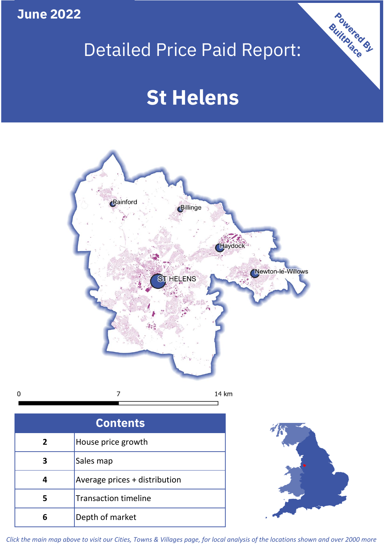**June 2022**

 $\mathbf 0$ 

# Detailed Price Paid Report:

# **St Helens**



| <b>Contents</b> |                               |  |  |
|-----------------|-------------------------------|--|--|
| $\mathbf{2}$    | House price growth            |  |  |
| З               | Sales map                     |  |  |
|                 | Average prices + distribution |  |  |
| 5               | <b>Transaction timeline</b>   |  |  |
|                 | Depth of market               |  |  |



Powered By

*Click the main map above to visit our Cities, Towns & Villages page, for local analysis of the locations shown and over 2000 more*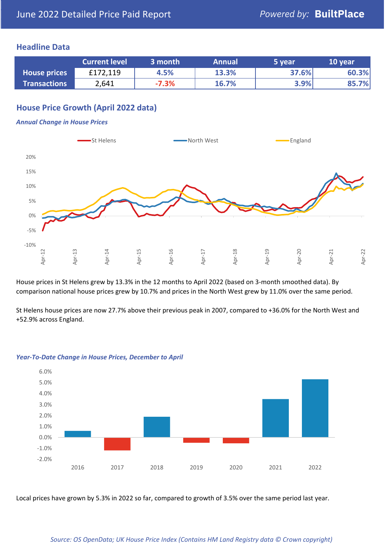### **Headline Data**

|                     | <b>Current level</b> | 3 month | <b>Annual</b> | 5 year | 10 year |
|---------------------|----------------------|---------|---------------|--------|---------|
| <b>House prices</b> | £172,119             | 4.5%    | 13.3%         | 37.6%  | 60.3%   |
| <b>Transactions</b> | 2,641                | $-7.3%$ | 16.7%         | 3.9%   | 85.7%   |

# **House Price Growth (April 2022 data)**

#### *Annual Change in House Prices*



House prices in St Helens grew by 13.3% in the 12 months to April 2022 (based on 3-month smoothed data). By comparison national house prices grew by 10.7% and prices in the North West grew by 11.0% over the same period.

St Helens house prices are now 27.7% above their previous peak in 2007, compared to +36.0% for the North West and +52.9% across England.



#### *Year-To-Date Change in House Prices, December to April*

Local prices have grown by 5.3% in 2022 so far, compared to growth of 3.5% over the same period last year.

#### *Source: OS OpenData; UK House Price Index (Contains HM Land Registry data © Crown copyright)*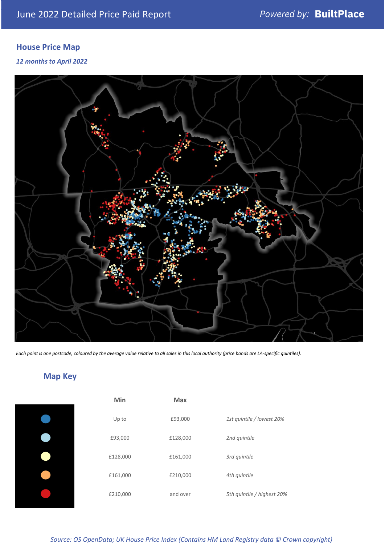# **House Price Map**

*12 months to April 2022*



*Each point is one postcode, coloured by the average value relative to all sales in this local authority (price bands are LA-specific quintiles).*

# **Map Key**

| Min      | <b>Max</b> |                            |
|----------|------------|----------------------------|
| Up to    | £93,000    | 1st quintile / lowest 20%  |
| £93,000  | £128,000   | 2nd quintile               |
| £128,000 | £161,000   | 3rd quintile               |
| £161,000 | £210,000   | 4th quintile               |
| £210,000 | and over   | 5th quintile / highest 20% |

*Source: OS OpenData; UK House Price Index (Contains HM Land Registry data © Crown copyright)*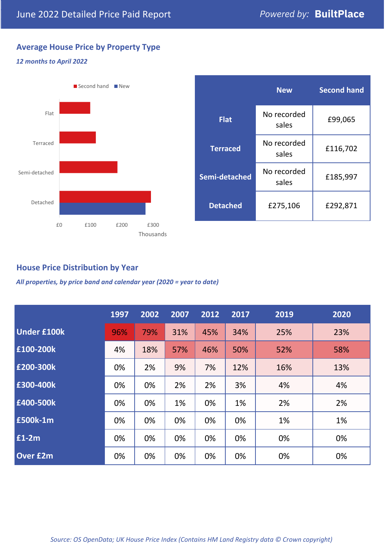# **Average House Price by Property Type**

### *12 months to April 2022*



|                 | <b>New</b>           | <b>Second hand</b> |  |
|-----------------|----------------------|--------------------|--|
| <b>Flat</b>     | No recorded<br>sales | £99,065            |  |
| <b>Terraced</b> | No recorded<br>sales | £116,702           |  |
| Semi-detached   | No recorded<br>sales | £185,997           |  |
| <b>Detached</b> | £275,106             | £292,871           |  |

## **House Price Distribution by Year**

*All properties, by price band and calendar year (2020 = year to date)*

|                    | 1997 | 2002 | 2007 | 2012 | 2017 | 2019 | 2020 |
|--------------------|------|------|------|------|------|------|------|
| <b>Under £100k</b> | 96%  | 79%  | 31%  | 45%  | 34%  | 25%  | 23%  |
| £100-200k          | 4%   | 18%  | 57%  | 46%  | 50%  | 52%  | 58%  |
| E200-300k          | 0%   | 2%   | 9%   | 7%   | 12%  | 16%  | 13%  |
| £300-400k          | 0%   | 0%   | 2%   | 2%   | 3%   | 4%   | 4%   |
| £400-500k          | 0%   | 0%   | 1%   | 0%   | 1%   | 2%   | 2%   |
| <b>£500k-1m</b>    | 0%   | 0%   | 0%   | 0%   | 0%   | 1%   | 1%   |
| $£1-2m$            | 0%   | 0%   | 0%   | 0%   | 0%   | 0%   | 0%   |
| <b>Over £2m</b>    | 0%   | 0%   | 0%   | 0%   | 0%   | 0%   | 0%   |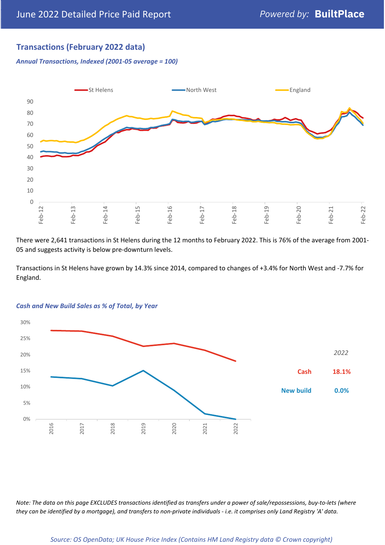# **Transactions (February 2022 data)**

*Annual Transactions, Indexed (2001-05 average = 100)*



There were 2,641 transactions in St Helens during the 12 months to February 2022. This is 76% of the average from 2001- 05 and suggests activity is below pre-downturn levels.

Transactions in St Helens have grown by 14.3% since 2014, compared to changes of +3.4% for North West and -7.7% for England.



#### *Cash and New Build Sales as % of Total, by Year*

*Note: The data on this page EXCLUDES transactions identified as transfers under a power of sale/repossessions, buy-to-lets (where they can be identified by a mortgage), and transfers to non-private individuals - i.e. it comprises only Land Registry 'A' data.*